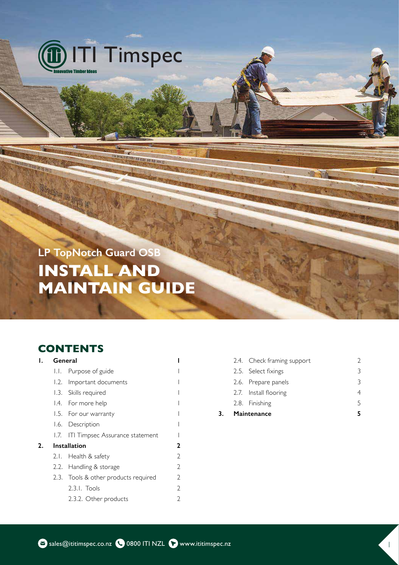

LP TopNotch Guard OSB **INSTALL AND MAINTAIN GUIDE**

HEY RE RON AN AD MAIL

# **CONTENTS**

**SALLYSTAN JUNE** 

|    |              | General                              |               |
|----|--------------|--------------------------------------|---------------|
|    | LL.          | Purpose of guide                     |               |
|    |              | 1.2. Important documents             |               |
|    |              | 1.3. Skills required                 |               |
|    |              | 1.4. For more help                   |               |
|    |              | 1.5. For our warranty                |               |
|    |              | 1.6. Description                     |               |
|    |              | 1.7. ITI Timpsec Assurance statement |               |
| 2. | Installation |                                      | 2             |
|    |              | 2.1. Health & safety                 | $\mathcal{D}$ |
|    |              | 2.2. Handling & storage              | V             |
|    |              | 2.3. Tools & other products required | 2             |
|    |              | $2.3.1.$ Tools                       | $\mathcal{D}$ |
|    |              | 2.3.2. Other products                |               |
|    |              |                                      |               |

| 3. | Maintenance                | 5 |
|----|----------------------------|---|
|    | 2.8. Finishing             | 5 |
|    | 2.7. Install flooring      | 4 |
|    | 2.6. Prepare panels        | 3 |
|    | 2.5. Select fixings        | 3 |
|    | 2.4. Check framing support | V |

新业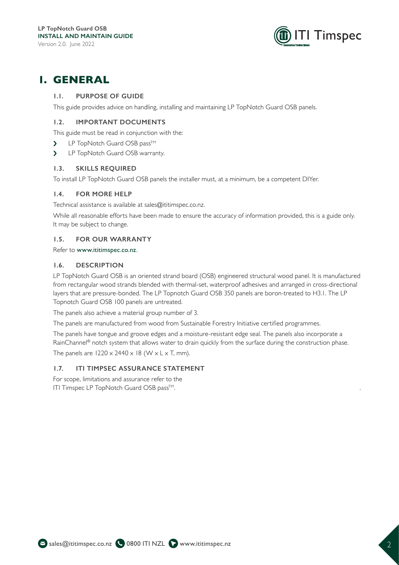

# **1. GENERAL**

# **1.1. PURPOSE OF GUIDE**

This guide provides advice on handling, installing and maintaining LP TopNotch Guard OSB panels.

# **1.2. IMPORTANT DOCUMENTS**

This guide must be read in conjunction with the:

- ▶ LP TopNotch Guard OSB pass<sup>™</sup>
- > LP TopNotch Guard OSB warranty.

### **1.3. SKILLS REQUIRED**

To install LP TopNotch Guard OSB panels the installer must, at a minimum, be a competent DIYer.

# **1.4. FOR MORE HELP**

Technical assistance is available at sales@ititimspec.co.nz.

While all reasonable efforts have been made to ensure the accuracy of information provided, this is a guide only. It may be subject to change.

### **1.5. FOR OUR WARRANTY**

Refer to www.ititimspec.co.nz.

### **1.6. DESCRIPTION**

LP TopNotch Guard OSB is an oriented strand board (OSB) engineered structural wood panel. It is manufactured from rectangular wood strands blended with thermal-set, waterproof adhesives and arranged in cross-directional layers that are pressure-bonded. The LP Topnotch Guard OSB 350 panels are boron-treated to H3.1. The LP Topnotch Guard OSB 100 panels are untreated.

The panels also achieve a material group number of 3.

The panels are manufactured from wood from Sustainable Forestry Initiative certified programmes.

The panels have tongue and groove edges and a moisture-resistant edge seal. The panels also incorporate a RainChannel® notch system that allows water to drain quickly from the surface during the construction phase. The panels are  $1220 \times 2440 \times 18$  (W  $\times$  L  $\times$  T, mm).

### **1.7. ITI TIMPSEC ASSURANCE STATEMENT**

For scope, limitations and assurance refer to the ITI Timspec LP TopNotch Guard OSB pass™.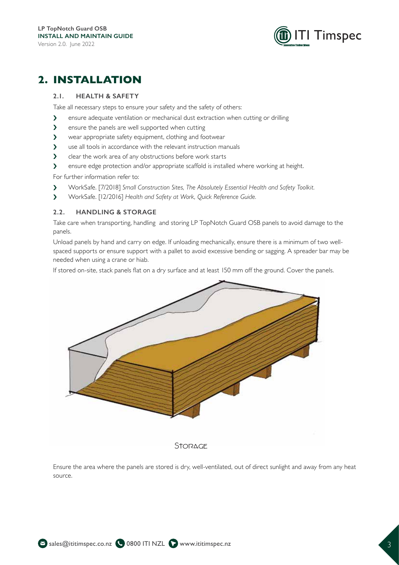

# **2. INSTALLATION**

# **2.1. HEALTH & SAFETY**

Take all necessary steps to ensure your safety and the safety of others:

- ightharpoonup ensure adequate ventilation or mechanical dust extraction when cutting or drilling
- I ensure the panels are well supported when cutting
- I wear appropriate safety equipment, clothing and footwear
- I use all tools in accordance with the relevant instruction manuals
- $\sum$  clear the work area of any obstructions before work starts
- In ensure edge protection and/or appropriate scaffold is installed where working at height.

For further information refer to:

- $\triangleright$  WorkSafe. [7/2018] Small Construction Sites, The Absolutely Essential Health and Safety Toolkit.
- i WorkSafe. [12/2016] *Health and Safety at Work, Quick Reference Guide.*

# **2.2. HANDLING & STORAGE**

Take care when transporting, handling and storing LP TopNotch Guard OSB panels to avoid damage to the panels.

Unload panels by hand and carry on edge. If unloading mechanically, ensure there is a minimum of two wellspaced supports or ensure support with a pallet to avoid excessive bending or sagging. A spreader bar may be needed when using a crane or hiab.

If stored on-site, stack panels flat on a dry surface and at least 150 mm off the ground. Cover the panels.



Ensure the area where the panels are stored is dry, well-ventilated, out of direct sunlight and away from any heat source.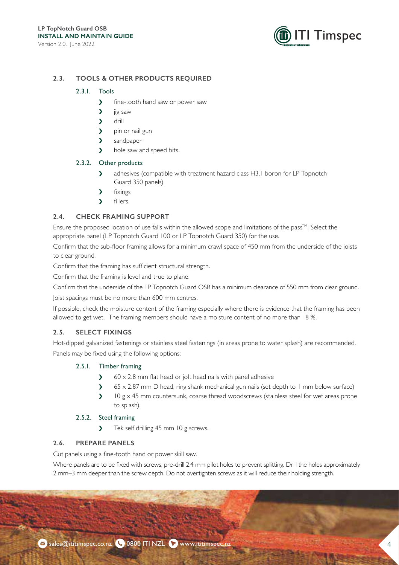

# **2.3. TOOLS & OTHER PRODUCTS REQUIRED**

#### 2.3.1. Tools

- $\lambda$  fine-tooth hand saw or power saw
- $\sum$  jig saw
- $\sum$  drill
- > pin or nail gun
- > sandpaper
- > hole saw and speed bits.

#### 2.3.2. Other products

- $\sum$  adhesives (compatible with treatment hazard class H3.1 boron for LP Topnotch Guard 350 panels)
- $\lambda$  fixings
- $\sum$  fillers.

# **2.4. CHECK FRAMING SUPPORT**

Ensure the proposed location of use falls within the allowed scope and limitations of the pass<sup>TM</sup>. Select the appropriate panel (LP Topnotch Guard 100 or LP Topnotch Guard 350) for the use.

Confirm that the sub-floor framing allows for a minimum crawl space of 450 mm from the underside of the joists to clear ground.

Confirm that the framing has sufficient structural strength.

Confirm that the framing is level and true to plane.

Confirm that the underside of the LP Topnotch Guard OSB has a minimum clearance of 550 mm from clear ground.

Joist spacings must be no more than 600 mm centres.

If possible, check the moisture content of the framing especially where there is evidence that the framing has been allowed to get wet. The framing members should have a moisture content of no more than 18 %.

### **2.5. SELECT FIXINGS**

Hot-dipped galvanized fastenings or stainless steel fastenings (in areas prone to water splash) are recommended. Panels may be fixed using the following options:

### 2.5.1. Timber framing

- $\angle$  60 x 2.8 mm flat head or jolt head nails with panel adhesive
- $\geq$  65 x 2.87 mm D head, ring shank mechanical gun nails (set depth to 1 mm below surface)
- $\sum$  IO g x 45 mm countersunk, coarse thread woodscrews (stainless steel for wet areas prone to splash).

# 2.5.2. Steel framing

I Tek self drilling 45 mm 10 g screws.

### **2.6. PREPARE PANELS**

Cut panels using a fine-tooth hand or power skill saw.

Where panels are to be fixed with screws, pre-drill 2.4 mm pilot holes to prevent splitting. Drill the holes approximately 2 mm–3 mm deeper than the screw depth. Do not overtighten screws as it will reduce their holding strength.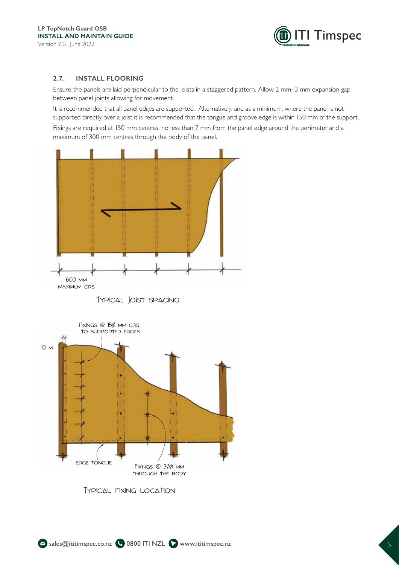

### **2.7. INSTALL FLOORING**

Ensure the panels are laid perpendicular to the joists in a staggered pattern. Allow 2 mm-3 mm expansion gap between panel joints allowing for movement.

It is recommended that all panel edges are supported. Alternatively, and as a minimum, where the panel is not supported directly over a joist it is recommended that the tongue and groove edge is within 150 mm of the support. Fixings are required at 150 mm centres, no less than 7 mm from the panel edge around the perimeter and a maximum of 300 mm centres through the body of the panel.